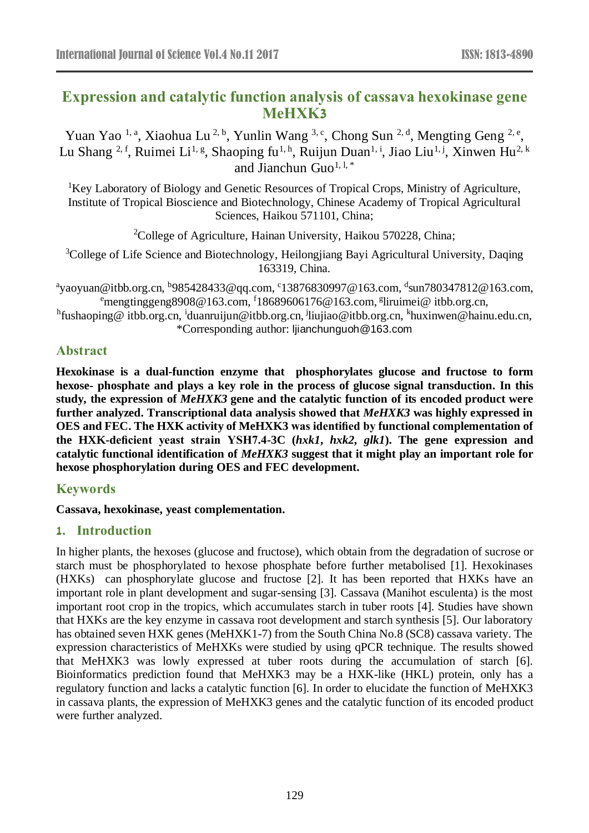# **Expression and catalytic function analysis of cassava hexokinase gene MeHXK3**

Yuan Yao <sup>1, a</sup>, Xiaohua Lu<sup>2, b</sup>, Yunlin Wang <sup>3, c</sup>, Chong Sun<sup>2, d</sup>, Mengting Geng <sup>2, e</sup>, Lu Shang <sup>2, f</sup>, Ruimei Li<sup>1, g</sup>, Shaoping fu<sup>1, h</sup>, Ruijun Duan<sup>1, i</sup>, Jiao Liu<sup>1, j</sup>, Xinwen Hu<sup>2, k</sup> and Jianchun Guo<sup>1, 1,\*</sup>

<sup>1</sup>Key Laboratory of Biology and Genetic Resources of Tropical Crops, Ministry of Agriculture, Institute of Tropical Bioscience and Biotechnology, Chinese Academy of Tropical Agricultural Sciences, Haikou 571101, China;

<sup>2</sup>College of Agriculture, Hainan University, Haikou 570228, China;

<sup>3</sup>College of Life Science and Biotechnology, Heilongjiang Bayi Agricultural University, Daqing 163319, China.

<sup>a</sup>yaoyuan@itbb.org.cn, <sup>b</sup>985428433@qq.com, <sup>c</sup>13876830997@163.com, <sup>d</sup>sun780347812@163.com,  $\text{``mengting}$ geng $\text{8908@163.com}, \text{``18689606176@163.com}, \text{``Iiruimei@ itbb.org.cn},$ 

<sup>h</sup>fushaoping@itbb.org.cn, <sup>i</sup>duanruijun@itbb.org.cn, <sup>j</sup>liujiao@itbb.org.cn, <sup>k</sup>huxinwen@hainu.edu.cn, \*Corresponding author: [ljianchunguoh@163.com](mailto:ljianchunguoh@163.com)

## **Abstract**

**Hexokinase is a dual-function enzyme that phosphorylates glucose and fructose to form hexose- phosphate and plays a key role in the process of glucose signal transduction. In this study, the expression of** *MeHXK3* **gene and the catalytic function of its encoded product were further analyzed. Transcriptional data analysis showed that** *MeHXK3* **was highly expressed in OES and FEC. The HXK activity of MeHXK3 was identified by functional complementation of the HXK-deficient yeast strain YSH7.4-3C (***hxk1***,** *hxk2***,** *glk1***). The gene expression and catalytic functional identification of** *MeHXK3* **suggest that it might play an important role for hexose phosphorylation during OES and FEC development.**

## **Keywords**

**Cassava, hexokinase, yeast complementation.**

## **1. Introduction**

In higher plants, the hexoses (glucose and fructose), which obtain from the degradation of sucrose or starch must be phosphorylated to hexose phosphate before further metabolised [\[1\]](#page-4-0). Hexokinases (HXKs) can phosphorylate glucose and fructose [\[2\]](#page-4-1). It has been reported that HXKs have an important role in plant development and sugar-sensing [\[3\]](#page-4-2). Cassava (Manihot esculenta) is the most important root crop in the tropics, which accumulates starch in tuber roots [\[4\]](#page-4-3). Studies have shown that HXKs are the key enzyme in cassava root development and starch synthesis [\[5\]](#page-4-4). Our laboratory has obtained seven HXK genes (MeHXK1-7) from the South China No.8 (SC8) cassava variety. The expression characteristics of MeHXKs were studied by using qPCR technique. The results showed that MeHXK3 was lowly expressed at tuber roots during the accumulation of starch [\[6\]](#page-4-5). Bioinformatics prediction found that MeHXK3 may be a HXK-like (HKL) protein, only has a regulatory function and lacks a catalytic function [\[6\]](#page-4-5). In order to elucidate the function of MeHXK3 in cassava plants, the expression of MeHXK3 genes and the catalytic function of its encoded product were further analyzed.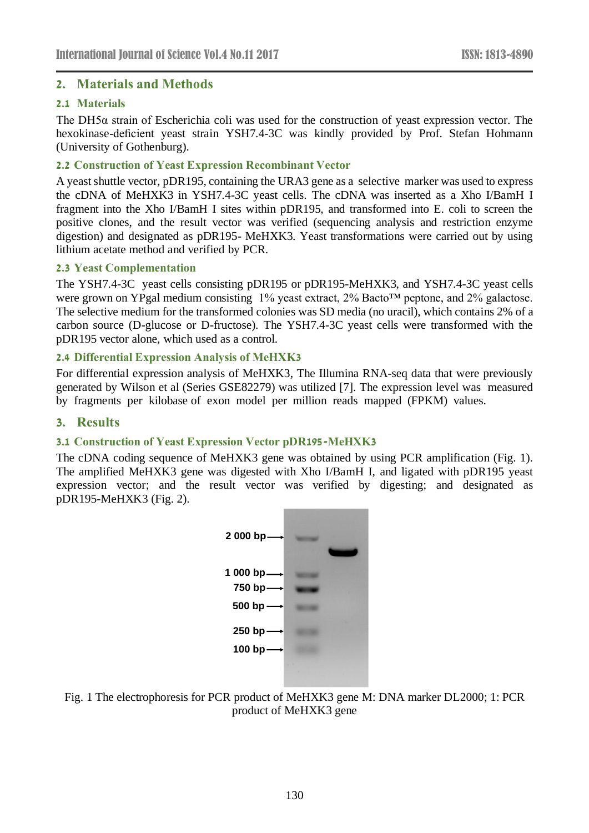#### **2. Materials and Methods**

#### **2.1 Materials**

The DH5 $\alpha$  strain of Escherichia coli was used for the construction of yeast expression vector. The hexokinase-deficient yeast strain YSH7.4-3C was kindly provided by Prof. Stefan Hohmann (University of Gothenburg).

#### **2.2 Construction of Yeast Expression Recombinant Vector**

A yeast shuttle vector, pDR195, containing the URA3 gene as a selective marker was used to express the cDNA of MeHXK3 in YSH7.4-3C yeast cells. The cDNA was inserted as a Xho I/BamH I fragment into the Xho I/BamH I sites within pDR195, and transformed into E. coli to screen the positive clones, and the result vector was verified (sequencing analysis and restriction enzyme digestion) and designated as pDR195- MeHXK3. Yeast transformations were carried out by using lithium acetate method and verified by PCR.

#### **2.3 Yeast Complementation**

The YSH7.4-3C yeast cells consisting pDR195 or pDR195-MeHXK3, and YSH7.4-3C yeast cells were grown on YPgal medium consisting 1% yeast extract, 2% Bacto™ peptone, and 2% galactose. The selective medium for the transformed colonies was SD media (no uracil), which contains 2% of a carbon source (D-glucose or D-fructose). The YSH7.4-3C yeast cells were transformed with the pDR195 vector alone, which used as a control.

#### **2.4 Differential Expression Analysis of MeHXK3**

For differential expression analysis of MeHXK3, The Illumina RNA-seq data that were previously generated by Wilson et al (Series GSE82279) was utilized [\[7\]](#page-4-6). The expression level was measured by fragments per kilobase of exon model per million reads mapped (FPKM) values.

#### **3. Results**

## **3.1 Construction of Yeast Expression Vector pDR195-MeHXK3**

The cDNA coding sequence of MeHXK3 gene was obtained by using PCR amplification (Fig. 1). The amplified MeHXK3 gene was digested with Xho I/BamH I, and ligated with pDR195 yeast expression vector; and the result vector was verified by digesting; and designated as pDR195-MeHXK3 (Fig. 2).



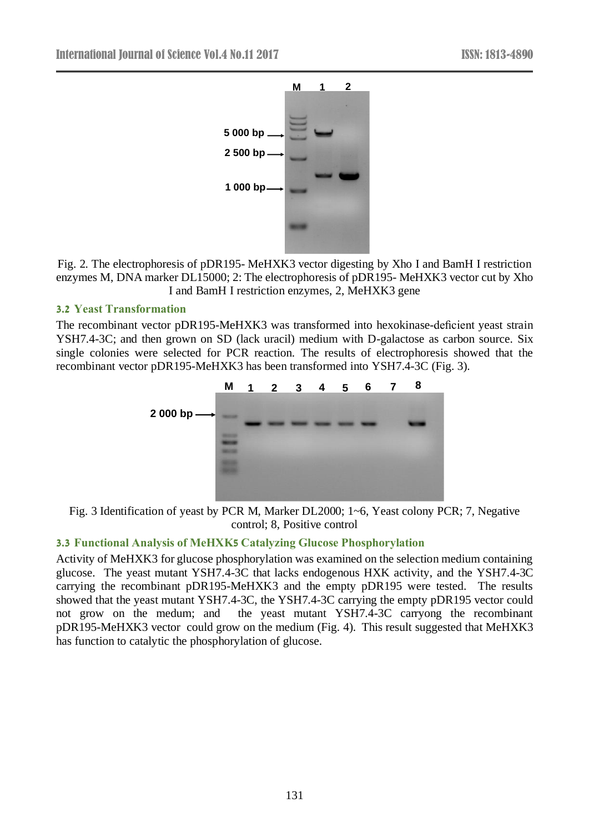

Fig. 2. The electrophoresis of pDR195- MeHXK3 vector digesting by Xho I and BamH I restriction enzymes M, DNA marker DL15000; 2: The electrophoresis of pDR195- MeHXK3 vector cut by Xho I and BamH I restriction enzymes, 2, MeHXK3 gene

## **3.2 Yeast Transformation**

The recombinant vector pDR195-MeHXK3 was transformed into hexokinase-deficient yeast strain YSH7.4-3C; and then grown on SD (lack uracil) medium with D-galactose as carbon source. Six single colonies were selected for PCR reaction. The results of electrophoresis showed that the recombinant vector pDR195-MeHXK3 has been transformed into YSH7.4-3C (Fig. 3).



Fig. 3 Identification of yeast by PCR M, Marker DL2000; 1~6, Yeast colony PCR; 7, Negative control; 8, Positive control

## **3.3 Functional Analysis of MeHXK5 Catalyzing Glucose Phosphorylation**

Activity of MeHXK3 for glucose phosphorylation was examined on the selection medium containing glucose. The yeast mutant YSH7.4-3C that lacks endogenous HXK activity, and the YSH7.4-3C carrying the recombinant pDR195-MeHXK3 and the empty pDR195 were tested. The results showed that the yeast mutant YSH7.4-3C, the YSH7.4-3C carrying the empty pDR195 vector could not grow on the medum; and the yeast mutant YSH7.4-3C carryong the recombinant pDR195-MeHXK3 vector could grow on the medium (Fig. 4). This result suggested that MeHXK3 has function to catalytic the phosphorylation of glucose.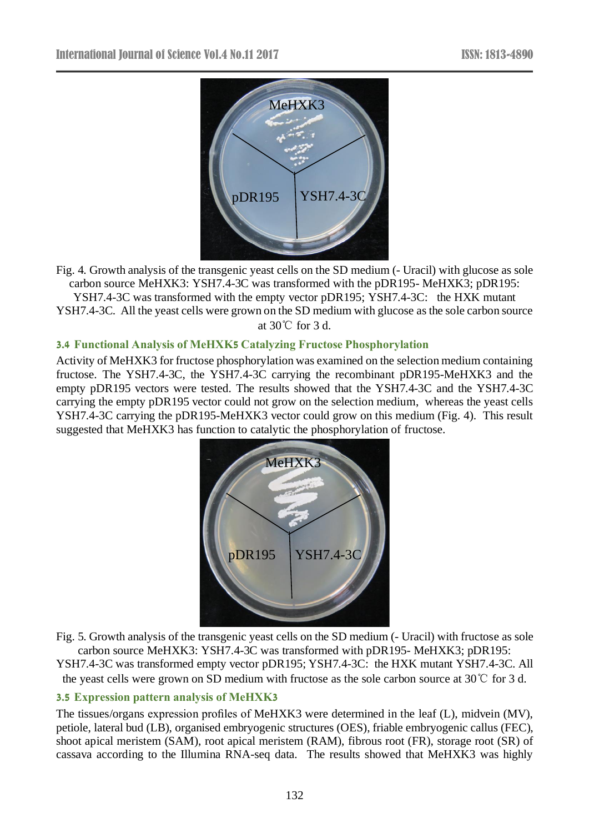

Fig. 4. Growth analysis of the transgenic yeast cells on the SD medium (- Uracil) with glucose as sole carbon source MeHXK3: YSH7.4-3C was transformed with the pDR195- MeHXK3; pDR195: YSH7.4-3C was transformed with the empty vector pDR195; YSH7.4-3C: the HXK mutant YSH7.4-3C. All the yeast cells were grown on the SD medium with glucose as the sole carbon source at 30℃ for 3 d.

## **3.4 Functional Analysis of MeHXK5 Catalyzing Fructose Phosphorylation**

Activity of MeHXK3 for fructose phosphorylation was examined on the selection medium containing fructose. The YSH7.4-3C, the YSH7.4-3C carrying the recombinant pDR195-MeHXK3 and the empty pDR195 vectors were tested. The results showed that the YSH7.4-3C and the YSH7.4-3C carrying the empty pDR195 vector could not grow on the selection medium, whereas the yeast cells YSH7.4-3C carrying the pDR195-MeHXK3 vector could grow on this medium (Fig. 4). This result suggested that MeHXK3 has function to catalytic the phosphorylation of fructose.



Fig. 5. Growth analysis of the transgenic yeast cells on the SD medium (- Uracil) with fructose as sole carbon source MeHXK3: YSH7.4-3C was transformed with pDR195- MeHXK3; pDR195: YSH7.4-3C was transformed empty vector pDR195; YSH7.4-3C: the HXK mutant YSH7.4-3C. All

the yeast cells were grown on SD medium with fructose as the sole carbon source at 30℃ for 3 d.

#### **3.5 Expression pattern analysis of MeHXK3**

The tissues/organs expression profiles of MeHXK3 were determined in the leaf (L), midvein (MV), petiole, lateral bud (LB), organised embryogenic structures (OES), friable embryogenic callus (FEC), shoot apical meristem (SAM), root apical meristem (RAM), fibrous root (FR), storage root (SR) of cassava according to the Illumina RNA-seq data. The results showed that MeHXK3 was highly